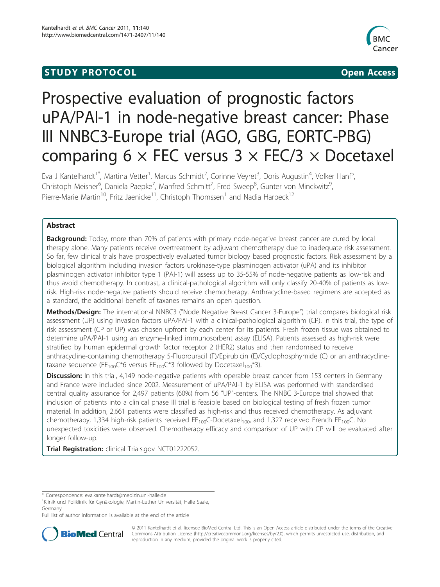## **STUDY PROTOCOL** And the state of the state of the state of the state of the state of the state of the state of the state of the state of the state of the state of the state of the state of the state of the state of the st



# Prospective evaluation of prognostic factors uPA/PAI-1 in node-negative breast cancer: Phase III NNBC3-Europe trial (AGO, GBG, EORTC-PBG) comparing  $6 \times$  FEC versus  $3 \times$  FEC/3  $\times$  Docetaxel

Eva J Kantelhardt<sup>1\*</sup>, Martina Vetter<sup>1</sup>, Marcus Schmidt<sup>2</sup>, Corinne Veyret<sup>3</sup>, Doris Augustin<sup>4</sup>, Volker Hanf<sup>5</sup> , Christoph Meisner<sup>6</sup>, Daniela Paepke<sup>7</sup>, Manfred Schmitt<sup>7</sup>, Fred Sweep<sup>8</sup>, Gunter von Minckwitz<sup>9</sup> , Pierre-Marie Martin<sup>10</sup>, Fritz Jaenicke<sup>11</sup>, Christoph Thomssen<sup>1</sup> and Nadia Harbeck<sup>12</sup>

## Abstract

**Background:** Today, more than 70% of patients with primary node-negative breast cancer are cured by local therapy alone. Many patients receive overtreatment by adjuvant chemotherapy due to inadequate risk assessment. So far, few clinical trials have prospectively evaluated tumor biology based prognostic factors. Risk assessment by a biological algorithm including invasion factors urokinase-type plasminogen activator (uPA) and its inhibitor plasminogen activator inhibitor type 1 (PAI-1) will assess up to 35-55% of node-negative patients as low-risk and thus avoid chemotherapy. In contrast, a clinical-pathological algorithm will only classify 20-40% of patients as lowrisk. High-risk node-negative patients should receive chemotherapy. Anthracycline-based regimens are accepted as a standard, the additional benefit of taxanes remains an open question.

Methods/Design: The international NNBC3 ("Node Negative Breast Cancer 3-Europe") trial compares biological risk assessment (UP) using invasion factors uPA/PAI-1 with a clinical-pathological algorithm (CP). In this trial, the type of risk assessment (CP or UP) was chosen upfront by each center for its patients. Fresh frozen tissue was obtained to determine uPA/PAI-1 using an enzyme-linked immunosorbent assay (ELISA). Patients assessed as high-risk were stratified by human epidermal growth factor receptor 2 (HER2) status and then randomised to receive anthracycline-containing chemotherapy 5-Fluorouracil (F)/Epirubicin (E)/Cyclophosphymide (C) or an anthracyclinetaxane sequence (FE<sub>100</sub>C\*6 versus FE<sub>100</sub>C\*3 followed by Docetaxel<sub>100</sub>\*3).

Discussion: In this trial, 4,149 node-negative patients with operable breast cancer from 153 centers in Germany and France were included since 2002. Measurement of uPA/PAI-1 by ELISA was performed with standardised central quality assurance for 2,497 patients (60%) from 56 "UP"-centers. The NNBC 3-Europe trial showed that inclusion of patients into a clinical phase III trial is feasible based on biological testing of fresh frozen tumor material. In addition, 2,661 patients were classified as high-risk and thus received chemotherapy. As adjuvant chemotherapy, 1,334 high-risk patients received  $FE_{100}C$ -Docetaxel<sub>100</sub>, and 1,327 received French FE<sub>100</sub>C. No unexpected toxicities were observed. Chemotherapy efficacy and comparison of UP with CP will be evaluated after longer follow-up.

Trial Registration: clinical Trials.gov [NCT01222052.](http://www.clinicaltrials.gov/ct2/show/NCT01222052)

<sup>1</sup> Klinik und Poliklinik für Gynäkologie, Martin-Luther Universität, Halle Saale, Germany

Full list of author information is available at the end of the article



© 2011 Kantelhardt et al; licensee BioMed Central Ltd. This is an Open Access article distributed under the terms of the Creative Commons Attribution License [\(http://creativecommons.org/licenses/by/2.0](http://creativecommons.org/licenses/by/2.0)), which permits unrestricted use, distribution, and reproduction in any medium, provided the original work is properly cited.

<sup>\*</sup> Correspondence: [eva.kantelhardt@medizin.uni-halle.de](mailto:eva.kantelhardt@medizin.uni-halle.de)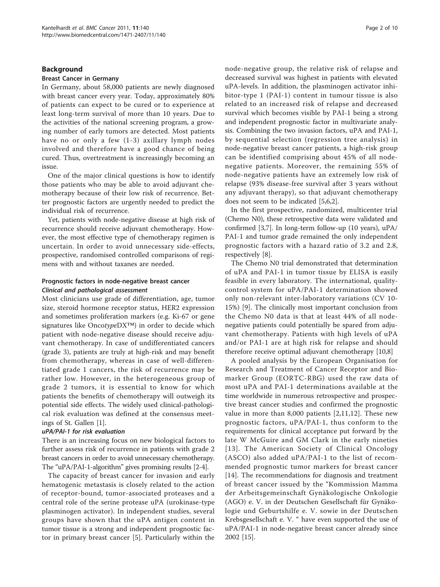#### Background

#### Breast Cancer in Germany

In Germany, about 58,000 patients are newly diagnosed with breast cancer every year. Today, approximately 80% of patients can expect to be cured or to experience at least long-term survival of more than 10 years. Due to the activities of the national screening program, a growing number of early tumors are detected. Most patients have no or only a few (1-3) axillary lymph nodes involved and therefore have a good chance of being cured. Thus, overtreatment is increasingly becoming an issue.

One of the major clinical questions is how to identify those patients who may be able to avoid adjuvant chemotherapy because of their low risk of recurrence. Better prognostic factors are urgently needed to predict the individual risk of recurrence.

Yet, patients with node-negative disease at high risk of recurrence should receive adjuvant chemotherapy. However, the most effective type of chemotherapy regimen is uncertain. In order to avoid unnecessary side-effects, prospective, randomised controlled comparisons of regimens with and without taxanes are needed.

#### Prognostic factors in node-negative breast cancer Clinical and pathological assessment

Most clinicians use grade of differentiation, age, tumor size, steroid hormone receptor status, HER2 expression and sometimes proliferation markers (e.g. Ki-67 or gene signatures like OncotypeDX™) in order to decide which patient with node-negative disease should receive adjuvant chemotherapy. In case of undifferentiated cancers (grade 3), patients are truly at high-risk and may benefit from chemotherapy, whereas in case of well-differentiated grade 1 cancers, the risk of recurrence may be rather low. However, in the heterogeneous group of grade 2 tumors, it is essential to know for which patients the benefits of chemotherapy will outweigh its potential side effects. The widely used clinical-pathological risk evaluation was defined at the consensus meetings of St. Gallen [[1\]](#page-8-0).

#### uPA/PAI-1 for risk evaluation

There is an increasing focus on new biological factors to further assess risk of recurrence in patients with grade 2 breast cancers in order to avoid unnecessary chemotherapy. The "uPA/PAI-1-algorithm" gives promising results [\[2-4\]](#page-8-0).

The capacity of breast cancer for invasion and early hematogenic metastasis is closely related to the action of receptor-bound, tumor-associated proteases and a central role of the serine protease uPA (urokinase-type plasminogen activator). In independent studies, several groups have shown that the uPA antigen content in tumor tissue is a strong and independent prognostic factor in primary breast cancer [[5\]](#page-8-0). Particularly within the node-negative group, the relative risk of relapse and decreased survival was highest in patients with elevated uPA-levels. In addition, the plasminogen activator inhibitor-type 1 (PAI-1) content in tumour tissue is also related to an increased risk of relapse and decreased survival which becomes visible by PAI-1 being a strong and independent prognostic factor in multivariate analysis. Combining the two invasion factors, uPA and PAI-1, by sequential selection (regression tree analysis) in node-negative breast cancer patients, a high-risk group can be identified comprising about 45% of all nodenegative patients. Moreover, the remaining 55% of node-negative patients have an extremely low risk of relapse (93% disease-free survival after 3 years without any adjuvant therapy), so that adjuvant chemotherapy does not seem to be indicated [[5,6,2\]](#page-8-0).

In the first prospective, randomized, multicenter trial (Chemo N0), these retrospective data were validated and confirmed [[3,7\]](#page-8-0). In long-term follow-up (10 years), uPA/ PAI-1 and tumor grade remained the only independent prognostic factors with a hazard ratio of 3.2 and 2.8, respectively [\[8](#page-8-0)].

The Chemo N0 trial demonstrated that determination of uPA and PAI-1 in tumor tissue by ELISA is easily feasible in every laboratory. The international, qualitycontrol system for uPA/PAI-1 determination showed only non-relevant inter-laboratory variations (CV 10- 15%) [\[9\]](#page-8-0). The clinically most important conclusion from the Chemo N0 data is that at least 44% of all nodenegative patients could potentially be spared from adjuvant chemotherapy. Patients with high levels of uPA and/or PAI-1 are at high risk for relapse and should therefore receive optimal adjuvant chemotherapy [\[10,8](#page-8-0)]

A pooled analysis by the European Organisation for Research and Treatment of Cancer Receptor and Biomarker Group (EORTC-RBG) used the raw data of most uPA and PAI-1 determinations available at the time worldwide in numerous retrospective and prospective breast cancer studies and confirmed the prognostic value in more than 8,000 patients [[2,11,12](#page-8-0)]. These new prognostic factors, uPA/PAI-1, thus conform to the requirements for clinical acceptance put forward by the late W McGuire and GM Clark in the early nineties [[13](#page-8-0)]. The American Society of Clinical Oncology (ASCO) also added uPA/PAI-1 to the list of recommended prognostic tumor markers for breast cancer [[14\]](#page-8-0). The recommendations for diagnosis and treatment of breast cancer issued by the "Kommission Mamma der Arbeitsgemeinschaft Gynäkologische Onkologie (AGO) e. V. in der Deutschen Gesellschaft für Gynäkologie und Geburtshilfe e. V. sowie in der Deutschen Krebsgesellschaft e. V. " have even supported the use of uPA/PAI-1 in node-negative breast cancer already since 2002 [[15](#page-8-0)].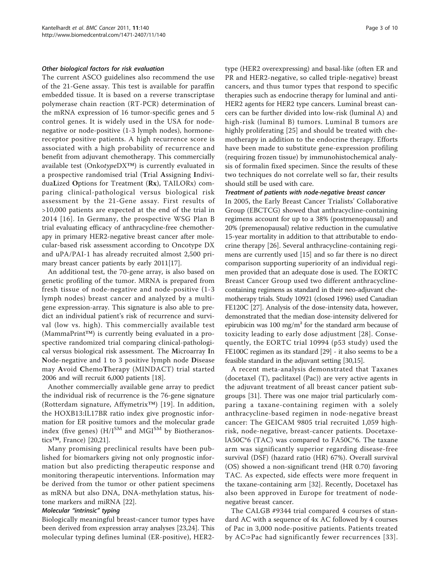#### Other biological factors for risk evaluation

The current ASCO guidelines also recommend the use of the 21-Gene assay. This test is available for paraffin embedded tissue. It is based on a reverse transcriptase polymerase chain reaction (RT-PCR) determination of the mRNA expression of 16 tumor-specific genes and 5 control genes. It is widely used in the USA for nodenegative or node-positive (1-3 lymph nodes), hormonereceptor positive patients. A high recurrence score is associated with a high probability of recurrence and benefit from adjuvant chemotherapy. This commercially available test (OnkotypeDX™) is currently evaluated in a prospective randomised trial (Trial Assigning IndividuaLized Options for Treatment (Rx), TAILORx) comparing clinical-pathological versus biological risk assessment by the 21-Gene assay. First results of >10,000 patients are expected at the end of the trial in 2014 [[16](#page-8-0)]. In Germany, the prospective WSG Plan B trial evaluating efficacy of anthracycline-free chemotherapy in primary HER2-negative breast cancer after molecular-based risk assessment according to Oncotype DX and uPA/PAI-1 has already recruited almost 2,500 primary breast cancer patients by early 2011[\[17\]](#page-8-0).

An additional test, the 70-gene array, is also based on genetic profiling of the tumor. MRNA is prepared from fresh tissue of node-negative and node-positive (1-3 lymph nodes) breast cancer and analyzed by a multigene expression-array. This signature is also able to predict an individual patient's risk of recurrence and survival (low vs. high). This commercially available test (MammaPrint™) is currently being evaluated in a prospective randomized trial comparing clinical-pathological versus biological risk assessment. The Microarray In Node-negative and 1 to 3 positive lymph node Disease may Avoid ChemoTherapy (MINDACT) trial started 2006 and will recruit 6,000 patients [[18\]](#page-8-0).

Another commercially available gene array to predict the individual risk of recurrence is the 76-gene signature (Rotterdam signature, Affymetrix™) [[19](#page-8-0)]. In addition, the HOXB13:IL17BR ratio index give prognostic information for ER positive tumors and the molecular grade index (five genes)  $(H/I<sup>SM</sup>$  and  $MGI<sup>SM</sup>$  by Biotheranostics™, France) [\[20,21\]](#page-8-0).

Many promising preclinical results have been published for biomarkers giving not only prognostic information but also predicting therapeutic response and monitoring therapeutic interventions. Information may be derived from the tumor or other patient specimens as mRNA but also DNA, DNA-methylation status, histone markers and miRNA [[22](#page-8-0)].

#### Molecular "intrinsic" typing

Biologically meaningful breast-cancer tumor types have been derived from expression array analyses [\[23,24](#page-8-0)]. This molecular typing defines luminal (ER-positive), HER2-

type (HER2 overexpressing) and basal-like (often ER and PR and HER2-negative, so called triple-negative) breast cancers, and thus tumor types that respond to specific therapies such as endocrine therapy for luminal and anti-HER2 agents for HER2 type cancers. Luminal breast cancers can be further divided into low-risk (luminal A) and high-risk (luminal B) tumors. Luminal B tumors are highly proliferating [\[25](#page-8-0)] and should be treated with chemotherapy in addition to the endocrine therapy. Efforts have been made to substitute gene-expression profiling (requiring frozen tissue) by immunohistochemical analysis of formalin fixed specimen. Since the results of these two techniques do not correlate well so far, their results should still be used with care.

#### Treatment of patients with node-negative breast cancer

In 2005, the Early Breast Cancer Trialists' Collaborative Group (EBCTCG) showed that anthracycline-containing regimens account for up to a 38% (postmenopausal) and 20% (premenopausal) relative reduction in the cumulative 15-year mortality in addition to that attributable to endocrine therapy [[26\]](#page-8-0). Several anthracycline-containing regimens are currently used [\[15](#page-8-0)] and so far there is no direct comparison supporting superiority of an individual regimen provided that an adequate dose is used. The EORTC Breast Cancer Group used two different anthracyclinecontaining regimens as standard in their neo-adjuvant chemotherapy trials. Study 10921 (closed 1996) used Canadian FE120C [\[27\]](#page-8-0). Analysis of the dose-intensity data, however, demonstrated that the median dose-intensity delivered for epirubicin was 100 mg/m<sup>2</sup> for the standard arm because of toxicity leading to early dose adjustment [[28](#page-8-0)]. Consequently, the EORTC trial 10994 (p53 study) used the FE100C regimen as its standard [[29](#page-8-0)] - it also seems to be a feasible standard in the adjuvant setting [\[30,15](#page-8-0)].

A recent meta-analysis demonstrated that Taxanes (docetaxel (T), paclitaxel (Pac)) are very active agents in the adjuvant treatment of all breast cancer patient subgroups [[31\]](#page-9-0). There was one major trial particularly comparing a taxane-containing regimen with a solely anthracycline-based regimen in node-negative breast cancer: The GEICAM 9805 trial recruited 1,059 highrisk, node-negative, breast-cancer patients. DocetaxelA50C\*6 (TAC) was compared to FA50C\*6. The taxane arm was significantly superior regarding disease-free survival (DSF) (hazard ratio (HR) 67%). Overall survival (OS) showed a non-significant trend (HR 0.70) favoring TAC. As expected, side effects were more frequent in the taxane-containing arm [[32](#page-9-0)]. Recently, Docetaxel has also been approved in Europe for treatment of nodenegative breast cancer.

The CALGB #9344 trial compared 4 courses of standard AC with a sequence of 4x AC followed by 4 courses of Pac in 3,000 node-positive patients. Patients treated by AC⇒Pac had significantly fewer recurrences [[33\]](#page-9-0).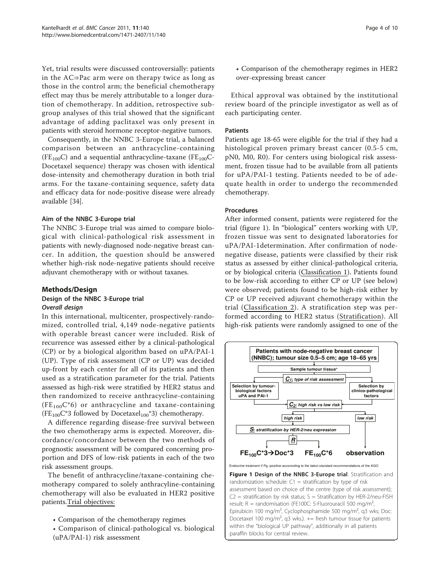Yet, trial results were discussed controversially: patients in the AC⇒Pac arm were on therapy twice as long as those in the control arm; the beneficial chemotherapy effect may thus be merely attributable to a longer duration of chemotherapy. In addition, retrospective subgroup analyses of this trial showed that the significant advantage of adding paclitaxel was only present in patients with steroid hormone receptor-negative tumors.

Consequently, in the NNBC 3-Europe trial, a balanced comparison between an anthracycline-containing (FE<sub>100</sub>C) and a sequential anthracycline-taxane (FE<sub>100</sub>C-Docetaxel sequence) therapy was chosen with identical dose-intensity and chemotherapy duration in both trial arms. For the taxane-containing sequence, safety data and efficacy data for node-positive disease were already available [[34\]](#page-9-0).

## Aim of the NNBC 3-Europe trial

The NNBC 3-Europe trial was aimed to compare biological with clinical-pathological risk assessment in patients with newly-diagnosed node-negative breast cancer. In addition, the question should be answered whether high-risk node-negative patients should receive adjuvant chemotherapy with or without taxanes.

#### Methods/Design

## Design of the NNBC 3-Europe trial Overall design

In this international, multicenter, prospectively-randomized, controlled trial, 4,149 node-negative patients with operable breast cancer were included. Risk of recurrence was assessed either by a clinical-pathological (CP) or by a biological algorithm based on uPA/PAI-1 (UP). Type of risk assessment (CP or UP) was decided up-front by each center for all of its patients and then used as a stratification parameter for the trial. Patients assessed as high-risk were stratified by HER2 status and then randomized to receive anthracycline-containing  $(FE<sub>100</sub>C<sup>*</sup>6)$  or anthracycline and taxane-containing  $(FE<sub>100</sub>C<sup>*</sup>3 followed by Docetaxel<sub>100</sub><sup>*</sup>3) chemotherapy.$ 

A difference regarding disease-free survival between the two chemotherapy arms is expected. Moreover, discordance/concordance between the two methods of prognostic assessment will be compared concerning proportion and DFS of low-risk patients in each of the two risk assessment groups.

The benefit of anthracycline/taxane-containing chemotherapy compared to solely anthracyline-containing chemotherapy will also be evaluated in HER2 positive patients.Trial objectives:

- Comparison of the chemotherapy regimes
- Comparison of clinical-pathological vs. biological (uPA/PAI-1) risk assessment

Ethical approval was obtained by the institutional review board of the principle investigator as well as of each participating center.

#### Patients

Patients age 18-65 were eligible for the trial if they had a histological proven primary breast cancer (0.5-5 cm, pN0, M0, R0). For centers using biological risk assessment, frozen tissue had to be available from all patients for uPA/PAI-1 testing. Patients needed to be of adequate health in order to undergo the recommended chemotherapy.

#### Procedures

After informed consent, patients were registered for the trial (figure 1). In "biological" centers working with UP, frozen tissue was sent to designated laboratories for uPA/PAI-1determination. After confirmation of nodenegative disease, patients were classified by their risk status as assessed by either clinical-pathological criteria, or by biological criteria (Classification 1). Patients found to be low-risk according to either CP or UP (see below) were observed; patients found to be high-risk either by CP or UP received adjuvant chemotherapy within the trial (Classification 2). A stratification step was performed according to HER2 status (Stratification). All high-risk patients were randomly assigned to one of the

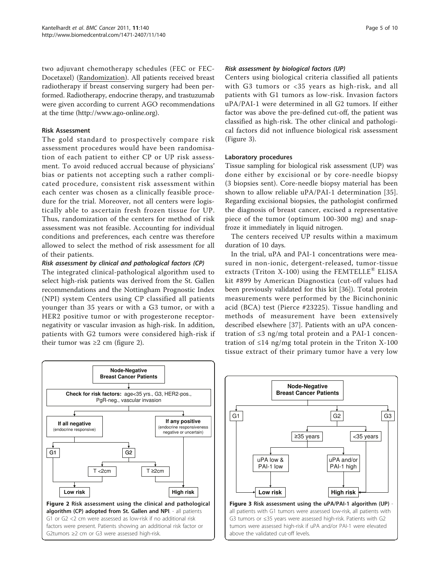two adjuvant chemotherapy schedules (FEC or FEC-Docetaxel) (Randomization). All patients received breast radiotherapy if breast conserving surgery had been performed. Radiotherapy, endocrine therapy, and trastuzumab were given according to current AGO recommendations at the time (<http://www.ago-online.org>).

## Risk Assessment

The gold standard to prospectively compare risk assessment procedures would have been randomisation of each patient to either CP or UP risk assessment. To avoid reduced accrual because of physicians' bias or patients not accepting such a rather complicated procedure, consistent risk assessment within each center was chosen as a clinically feasible procedure for the trial. Moreover, not all centers were logistically able to ascertain fresh frozen tissue for UP. Thus, randomization of the centers for method of risk assessment was not feasible. Accounting for individual conditions and preferences, each centre was therefore allowed to select the method of risk assessment for all of their patients.

## Risk assessment by clinical and pathological factors (CP)

The integrated clinical-pathological algorithm used to select high-risk patients was derived from the St. Gallen recommendations and the Nottingham Prognostic Index (NPI) system Centers using CP classified all patients younger than 35 years or with a G3 tumor, or with a HER2 positive tumor or with progesterone receptornegativity or vascular invasion as high-risk. In addition, patients with G2 tumors were considered high-risk if their tumor was  $\geq 2$  cm (figure 2).



## Risk assessment by biological factors (UP)

Centers using biological criteria classified all patients with G3 tumors or <35 years as high-risk, and all patients with G1 tumors as low-risk. Invasion factors uPA/PAI-1 were determined in all G2 tumors. If either factor was above the pre-defined cut-off, the patient was classified as high-risk. The other clinical and pathological factors did not influence biological risk assessment (Figure 3).

## Laboratory procedures

Tissue sampling for biological risk assessment (UP) was done either by excisional or by core-needle biopsy (3 biopsies sent). Core-needle biopsy material has been shown to allow reliable uPA/PAI-1 determination [[35](#page-9-0)]. Regarding excisional biopsies, the pathologist confirmed the diagnosis of breast cancer, excised a representative piece of the tumor (optimum 100-300 mg) and snapfroze it immediately in liquid nitrogen.

The centers received UP results within a maximum duration of 10 days.

In the trial, uPA and PAI-1 concentrations were measured in non-ionic, detergent-released, tumor-tissue extracts (Triton X-100) using the FEMTELLE<sup>®</sup> ELISA kit #899 by American Diagnostica (cut-off values had been previously validated for this kit [\[36](#page-9-0)]). Total protein measurements were performed by the Bicinchoninic acid (BCA) test (Pierce #23225). Tissue handling and methods of measurement have been extensively described elsewhere [\[37](#page-9-0)]. Patients with an uPA concentration of ≤3 ng/mg total protein and a PAI-1 concentration of  $\leq$ 14 ng/mg total protein in the Triton X-100 tissue extract of their primary tumor have a very low

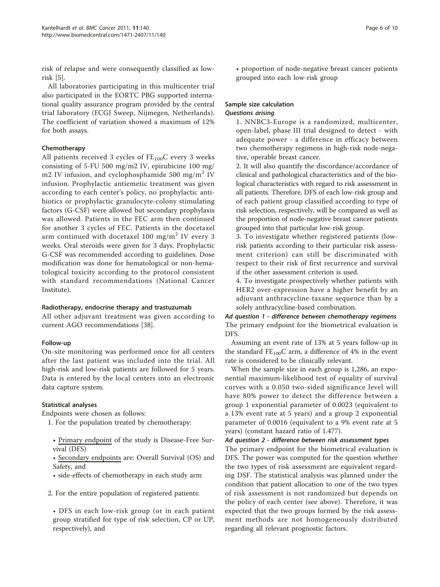risk of relapse and were consequently classified as lowrisk [[5\]](#page-8-0).

All laboratories participating in this multicenter trial also participated in the EORTC PBG supported international quality assurance program provided by the central trial laboratory (FCGJ Sweep, Nijmegen, Netherlands). The coefficient of variation showed a maximum of 12% for both assays.

## Chemotherapy

All patients received 3 cycles of  $FE_{100}C$  every 3 weeks consisting of 5-FU 500 mg/m2 IV, epirubicine 100 mg/ m2 IV infusion, and cyclophosphamide 500 mg/m<sup>2</sup> IV infusion. Prophylactic antiemetic treatment was given according to each center's policy, no prophylactic antibiotics or prophylactic granulocyte-colony stimulating factors (G-CSF) were allowed but secondary prophylaxis was allowed. Patients in the FEC arm then continued for another 3 cycles of FEC. Patients in the docetaxel arm continued with docetaxel 100 mg/m<sup>2</sup> IV every 3 weeks. Oral steroids were given for 3 days. Prophylactic G-CSF was recommended according to guidelines. Dose modification was done for hematological or non-hematological toxicity according to the protocol consistent with standard recommendations (National Cancer Institute).

## Radiotherapy, endocrine therapy and trastuzumab

All other adjuvant treatment was given according to current AGO recommendations [\[38](#page-9-0)].

## Follow-up

On-site monitoring was performed once for all centers after the last patient was included into the trial. All high-risk and low-risk patients are followed for 5 years. Data is entered by the local centers into an electronic data capture system.

## Statistical analyses

Endpoints were chosen as follows:

- 1. For the population treated by chemotherapy:
- Primary endpoint of the study is Disease-Free Survival (DFS)
- Secondary endpoints are: Overall Survival (OS) and Safety, and
- side-effects of chemotherapy in each study arm
- 2. For the entire population of registered patients:

• DFS in each low-risk group (or in each patient group stratified for type of risk selection, CP or UP, respectively), and

• proportion of node-negative breast cancer patients grouped into each low-risk group

## Sample size calculation Questions arising

1. NNBC3-Europe is a randomized, multicenter, open-label, phase III trial designed to detect - with adequate power - a difference in efficacy between two chemotherapy regimens in high-risk node-negative, operable breast cancer.

2. It will also quantify the discordance/accordance of clinical and pathological characteristics and of the biological characteristics with regard to risk assessment in all patients. Therefore, DFS of each low-risk group and of each patient group classified according to type of risk selection, respectively, will be compared as well as the proportion of node-negative breast cancer patients grouped into that particular low-risk group.

3. To investigate whether registered patients (lowrisk patients according to their particular risk assessment criterion) can still be discriminated with respect to their risk of first recurrence and survival if the other assessment criterion is used.

4. To investigate prospectively whether patients with HER2 over-expression have a higher benefit by an adjuvant anthracycline-taxane sequence than by a solely anthracycline-based combination.

Ad question 1 - difference between chemotherapy regimens The primary endpoint for the biometrical evaluation is DFS.

Assuming an event rate of 13% at 5 years follow-up in the standard  $FE_{100}C$  arm, a difference of 4% in the event rate is considered to be clinically relevant.

When the sample size in each group is 1,286, an exponential maximum-likelihood test of equality of survival curves with a 0.050 two-sided significance level will have 80% power to detect the difference between a group 1 exponential parameter of 0.0023 (equivalent to a 13% event rate at 5 years) and a group 2 exponential parameter of 0.0016 (equivalent to a 9% event rate at 5 years) (constant hazard ratio of 1.477).

## Ad question 2 - difference between risk assessment types

The primary endpoint for the biometrical evaluation is DFS. The power was computed for the question whether the two types of risk assessment are equivalent regarding DSF. The statistical analysis was planned under the condition that patient allocation to one of the two types of risk assessment is not randomized but depends on the policy of each center (see above). Therefore, it was expected that the two groups formed by the risk assessment methods are not homogeneously distributed regarding all relevant prognostic factors.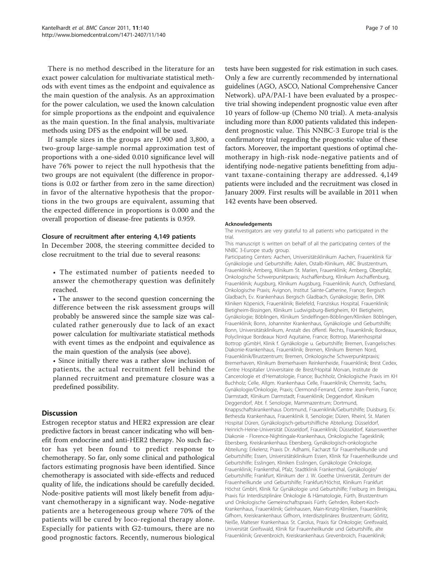There is no method described in the literature for an exact power calculation for multivariate statistical methods with event times as the endpoint and equivalence as the main question of the analysis. As an approximation for the power calculation, we used the known calculation for simple proportions as the endpoint and equivalence as the main question. In the final analysis, multivariate methods using DFS as the endpoint will be used.

If sample sizes in the groups are 1,900 and 3,800, a two-group large-sample normal approximation test of proportions with a one-sided 0.010 significance level will have 76% power to reject the null hypothesis that the two groups are not equivalent (the difference in proportions is 0.02 or farther from zero in the same direction) in favor of the alternative hypothesis that the proportions in the two groups are equivalent, assuming that the expected difference in proportions is 0.000 and the overall proportion of disease-free patients is 0.959.

#### Closure of recruitment after entering 4,149 patients

In December 2008, the steering committee decided to close recruitment to the trial due to several reasons:

- The estimated number of patients needed to answer the chemotherapy question was definitely reached.
- The answer to the second question concerning the difference between the risk assessment groups will probably be answered since the sample size was calculated rather generously due to lack of an exact power calculation for multivariate statistical methods with event times as the endpoint and equivalence as the main question of the analysis (see above).
- Since initially there was a rather slow inclusion of patients, the actual recruitment fell behind the planned recruitment and premature closure was a predefined possibility.

#### **Discussion**

Estrogen receptor status and HER2 expression are clear predictive factors in breast cancer indicating who will benefit from endocrine and anti-HER2 therapy. No such factor has yet been found to predict response to chemotherapy. So far, only some clinical and pathological factors estimating prognosis have been identified. Since chemotherapy is associated with side-effects and reduced quality of life, the indications should be carefully decided. Node-positive patients will most likely benefit from adjuvant chemotherapy in a significant way. Node-negative patients are a heterogeneous group where 70% of the patients will be cured by loco-regional therapy alone. Especially for patients with G2-tumours, there are no good prognostic factors. Recently, numerous biological

tests have been suggested for risk estimation in such cases. Only a few are currently recommended by international guidelines (AGO, ASCO, National Comprehensive Cancer Network). uPA/PAI-1 have been evaluated by a prospective trial showing independent prognostic value even after 10 years of follow-up (Chemo N0 trial). A meta-analysis including more than 8,000 patients validated this independent prognostic value. This NNBC-3 Europe trial is the confirmatory trial regarding the prognostic value of these factors. Moreover, the important questions of optimal chemotherapy in high-risk node-negative patients and of identifying node-negative patients benefitting from adjuvant taxane-containing therapy are addressed. 4,149 patients were included and the recruitment was closed in January 2009. First results will be available in 2011 when 142 events have been observed.

#### Acknowledgements

The investigators are very grateful to all patients who participated in the trial.

This manuscript is written on behalf of all the participating centers of the NNBC 3-Europe study group.

Participating Centers: Aachen, Universitätsklinikum Aachen, Frauenklinik für Gynäkologie und Geburtshilfe; Aalen, Ostalb-Klinikum, ABC Brustzentrum, Frauenklinik; Amberg, Klinikum St. Marien, Frauenklinik; Amberg, Oberpfalz, Onkologische Schwerpunktpraxis; Aschaffenburg, Klinikum Aschaffenburg, Frauenklinik; Augsburg, Klinikum Augsburg, Frauenklinik; Aurich, Ostfriesland, Onkologische Praxis; Avignon, Institut Sainte-Catherine, France; Bergisch Gladbach, Ev. Krankenhaus Bergisch Gladbach, Gynäkologie; Berlin, DRK Kliniken Köpenick, Frauenklinik; Bielefeld, Franziskus Hospital, Frauenklinik; Bietigheim-Bissingen, Klinikum Ludwigsburg-Bietigheim, KH Bietigheim, Gynäkologie; Böblingen, Klinikum Sindelfingen-Böblingen/Kliniken Böblingen, Frauenklinik; Bonn, Johanniter Krankenhaus, Gynäkologie und Geburtshilfe; Bonn, Universitätsklinikum, Anstalt des öffentl. Rechts, Frauenklinik; Bordeaux, Polyclinique Bordeaux Nord Aquitaine, France; Bottrop, Marienhospital Bottrop gGmbH, Klinik f. Gynäkologie u. Geburtshilfe; Bremen, Evangelisches Diakonie-Krankenhaus, Frauenklinik; Bremen, Klinikum Bremen Nord, Frauenklinik/Brustzentrum; Bremen, Onkologische Schwerpunktpraxis; Bremerhaven, Klinikum Bremerhaven Reinkenheide, Frauenklinik; Brest Cedex, Centre Hospitalier Universitaire de Brest/Hopital Morvan, Institute de Cancerologie et d'Hematologie, France; Buchholz, Onkologische Praxis im KH Buchholz; Celle, Allgm. Krankenhaus Celle, Frauenklinik; Chemnitz, Sachs, Gynäkologie/Onkologie, Praxis; Clermond-Ferrand, Centre Jean-Perrin, France; Darmstadt, Klinikum Darmstadt, Frauenklinik; Deggendorf, Klinikum Deggendorf, Abt. f. Senologie, Mammazentrum; Dortmund, Knappschaftskrankenhaus Dortmund, Frauenklinik/Geburtshilfe; Duisburg, Ev. Bethesda Krankenhaus, Frauenklinik II, Senologie; Düren, Rheinl, St. Marien Hospital Düren, Gynäkologisch-geburtshilfliche Abteilung; Düsseldorf, Heinrich-Heine-Universität Düsseldorf, Frauenklinik; Düsseldorf, Kaiserswerther Diakonie - Florence-Nightingale-Krankenhaus, Onkologische Tagesklinik; Ebersberg, Kreiskrankenhaus Ebersberg, Gynäkologisch-onkologische Abteilung; Erkelenz, Praxis Dr. Adhami, Facharzt für Frauenheilkunde und Geburtshilfe; Essen, Universitätsklinikum Essen, Klinik für Frauenheilkunde und Geburtshilfe; Esslingen, Kliniken Esslingen, Gynäkologie Onkologie, Frauenklinik; Frankenthal, Pfalz, Stadtklinik Frankenthal, Gynäkologie/ Geburtshilfe; Frankfurt, Klinikum der J. W. Goethe Universität, Zentrum der Frauenheilkunde und Geburtshilfe; Frankfurt/Höchst, Klinikum Frankfurt Höchst GmbH, Klinik für Gynäkologie und Geburtshilfe; Freiburg im Breisgau, Praxis für Interdisziplinäre Onkologie & Hämatologie, Fürth, Brustzentrum und Onkologische Gemeinschaftspraxis Fürth; Gehrden, Robert-Koch-Krankenhaus, Frauenklinik; Gelnhausen, Main-Kinzig-Kliniken, Frauenklinik; Gifhorn, Kreiskrankenhaus Gifhorn, Interdisziplinäres Brustzentrum; Görlitz, Neiße, Malteser Krankenhaus St. Carolus, Praxis für Onkologie; Greifswald, Universität Greifswald, Klinik für Frauenheilkunde und Geburtshilfe, alte Frauenklinik; Grevenbroich, Kreiskrankenhaus Grevenbroich, Frauenklinik;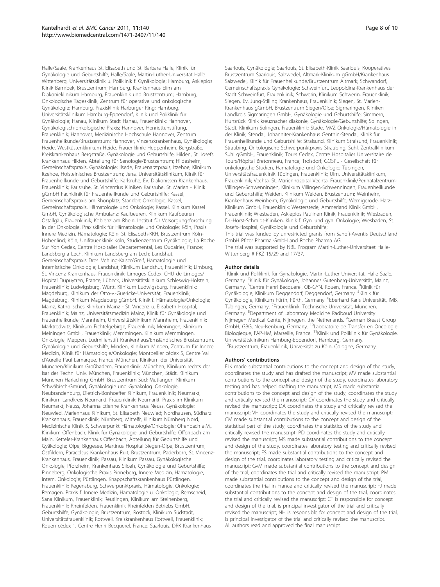Halle/Saale, Krankenhaus St. Elisabeth und St. Barbara Halle, Klinik für Gynäkologie und Geburtshilfe; Halle/Saale, Martin-Luther-Universität Halle Wittenberg, Universitätsklinik u. Poliklinik f. Gynäkologie; Hamburg, Asklepios Klinik Barmbek, Brustzentrum; Hamburg, Krankenhaus Elim am Diakonieklinikum Hamburg, Frauenklinik und Brustzentrum; Hamburg, Onkologische Tagesklinik, Zentrum für operative und onkologische Gynäkologie; Hamburg, Praxisklinik Harburger Ring; Hamburg, Universitätsklinikum Hamburg-Eppendorf, Klinik und Poliklinik für Gynäkologie; Hanau, Klinikum Stadt Hanau, Frauenklinik; Hannover, Gynäkologisch-onkologische Praxis; Hannover, Henriettenstiftung, Frauenklinik; Hannover, Medizinische Hochschule Hannover, Zentrum Frauenheilkunde/Brustzentrum; Hannover, Vinzenzkrankenhaus, Gynäkologie; Heide, Westküstenklinikum Heide, Frauenklinik; Heppenheim, Bergstraße, Kreiskrankenhaus Bergstraße, Gynäkologie und Geburtshilfe; Hilden, St. Josefs Krankenhaus Hilden, Abteilung für Senologie/Brustzentrum; Hildesheim, Gemeinschaftspraxis, Gynäkologie; Ilsede, Frauenarztpraxis; Itzehoe, Klinikum Itzehoe, Holsteinisches Brustzentrum; Jena, Universitätsklinikum, Klinik für Frauenheilkunde und Geburtshilfe; Karlsruhe, Ev. Diakonissen Krankenhaus, Frauenklinik; Karlsruhe, St. Vincentius Kliniken Karlsruhe, St. Marien - Klinik gGmbH Fachklinik für Frauenheilkunde und Geburtshilfe; Kassel, Gemeinschaftspraxis am Rhönplatz, Standort Onkologie; Kassel, Gemeinschaftspraxis, Hämatologie und Onkologie; Kassel, Klinikum Kassel GmbH, Gynäkologische Ambulanz; Kaufbeuren, Klinikum Kaufbeuren Ostallgäu, Frauenklinik; Koblenz am Rhein, Institut für Versorgungsforschung in der Onkologie, Praxisklinik für Hämatologie und Onkologie; Köln, Praxis Innere Medizin, Hämatologie; Köln, St. Elisabeth-KKH, Brustzentrum Köln-Hohenlind; Köln, Unifrauenklinik Köln, Studienzentrum Gynäkologie; La Roche Sur Yon Cedex, Centre Hospitalier Departemental, Les Oudairies, France; Landsberg a Lech, Klinikum Landsberg am Lech; Landshut, Gemeinschaftspraxis Dres. Vehling-Kaiser/Greif, Hämatologie und Internistische Onkologie; Landshut, Klinikum Landshut, Frauenklinik; Limburg, St. Vincenz Krankenhaus, Frauenklinik; Limoges Cedex, CHU de Limoges/ Hopital Dupuytren, France; Lübeck, Universitätsklinikum Schleswig-Holstein, Frauenklinik; Ludwigsburg, Württ, Klinikum Ludwigsburg, Frauenklinik; Magdeburg, Klinikum der Otto-v.-Guericke-Universität, Frauenklinik; Magdeburg, Klinikum Magdeburg gGmbH, Klinik f. Hämatologie/Onkologie; Mainz, Katholisches Klinikum Mainz - St. Vincenz u. Elisabeth Hospital, Frauenklinik; Mainz, Universitätsmedizin Mainz, Klinik für Gynäkologie und Frauenheilkunde; Mannheim, Universitätsklinikum Mannheim, Frauenklinik; Marktredwitz, Klinikum Fichtelgebirge, Frauenklinik; Meiningen, Klinikum Meiningen GmbH, Frauenklinik; Memmingen, Klinikum Memmingen, Onkologie; Meppen, Ludmillenstift Krankenhaus/Emsländisches Brustzentrum, Gynäkologie und Geburtshilfe; Minden, Klinikum Minden, Zentrum für Innere Medizin, Klinik für Hämatologie/Onkologie; Montpellier cédex 5, Centre Val d'Aurelle Paul Lamarque, France; München, Klinikum der Universität München/Klinikum Großhadern, Frauenklinik; München, Klinikum rechts der Isar der Techn. Univ. München, Frauenklinik; München, Städt. Klinikum München Harlaching GmbH, Brustzentrum Süd; Mutlangen, Klinikum Schwäbisch-Gmünd, Gynäkologie und Gynäkolog. Onkologie; Neubrandenburg, Dietrich-Bonhoeffer Klinikum, Frauenklinik; Neumarkt, Klinikum Landkreis Neumarkt, Frauenklinik; Neumarkt, Praxis im Klinikum Neumarkt; Neuss, Johanna Etienne Krankenhaus Neuss, Gynäkologie; Neuwied, Marienhaus Klinikum, St. Elisabeth Neuwied; Nordhausen, Südharz Krankenhaus, Frauenklinik; Nürnberg, Mittelfr, Klinikum Nürnberg Nord, Medizinische Klinik 5, Schwerpunkt Hämatologie/Onkologie; Offenbach a.M., Klinikum Offenbach, Klinik für Gynäkologie und Geburtshilfe; Offenbach am Main, Ketteler-Krankenhaus Offenbach, Abteilung für Geburtshilfe und Gyäkologie; Olpe, Biggesee, Martinus Hospital Siegen-Olpe, Brustzentrum; Ostfildern, Paracelsus Krankenhaus Ruit, Brustzentrum; Paderborn, St. Vincenz-Krankenhaus, Frauenklinik; Passau, Klinikum Passau, Gynäkologische Onkologie; Pforzheim, Krankenhaus Siloah, Gynäkologie und Geburtshilfe; Pinneberg, Onkologische Praxis Pinneberg, Innere Medizin, Hämatologie, intern. Onkologie; Püttlingen, Knappschaftskrankenhaus Püttlingen, Frauenklinik; Regensburg, Schwerpunktpraxis, Hämatologie, Onkologie; Remagen, Praxis f. Innere Medizin, Hämatologie u. Onkologie; Remscheid, Sana Klinikum, Frauenklinik; Reutlingen, Klinikum am Steinenberg, Frauenklinik; Rheinfelden, Frauenklinik Rheinfelden Betriebs GmbH, Geburtshilfe, Gynäkologie, Brustzentrum; Rostock, Klinikum Südstadt, Universitätsfrauenklinik; Rottweil, Kreiskrankenhaus Rottweil, Frauenklinik; Rouen cédex 1, Centre Henri Becquerel, France; Saarlouis, DRK Krankenhaus

Saarlouis, Gynäkologie; Saarlouis, St. Elisabeth-Klinik Saarlouis, Kooperatives Brustzentrum Saarlouis; Salzwedel, Altmark-Klinikum gGmbH/Krankenhaus Salzwedel, Klinik für Frauenheilkunde/Brustzentrum Altmark; Schwandorf, Gemeinschaftspraxis Gynäkologie; Schweinfurt, Leopoldina-Krankenhaus der Stadt Schweinfurt, Frauenklinik; Schwerin, Klinikum Schwerin, Frauenklinik; Siegen, Ev. Jung-Stilling Krankenhaus, Frauenklinik; Siegen, St. Marien-Krankenhaus gGmbH, Brustzentrum Siegen/Olpe; Sigmaringen, Kliniken Landkreis Sigmaringen GmbH, Gynäkologie und Geburtshilfe; Simmern, Hunsrück Klinik kreuznacher diakonie, Gynäkologie/Geburtshilfe; Solingen, Städt. Klinikum Solingen, Frauenklinik; Stade, MVZ Onkologie/Hämatologie in der Klinik; Stendal, Johanniter-Krankenhaus Genthin-Stendal, Klinik für Frauenheilkunde und Geburtshilfe; Stralsund, Klinikum Stralsund, Frauenklinik; Straubing, Onkologische Schwerpunktpraxis Straubing; Suhl, Zentralklinikum Suhl gGmbH, Frauenklinik; Tours Cedex, Centre Hospitalier Universitaire de Tours/Hôpital Bretonneau, France; Troisdorf, GOSPL - Gesellschaft für onkologische Studien, Hämatologie und Onkologie; Tübingen, Universitätsfrauenklinik Tübingen, Frauenklinik; Ulm, Universitätsklinikum, Frauenklinik; Vechta, St. Marienhospital Vechta, Frauenklinik/Perinatalzentrum; Villingen-Schwenningen, Klinikum Villingen-Schwenningen, Frauenheilkunde und Geburtshilfe; Weiden, Klinikum Weiden, Brustzentrum; Weinheim, Krankenhaus Weinheim, Gynäkologie und Geburtshilfe; Wernigerode, Harz-Klinikum GmbH, Frauenklinik; Westerstede, Ammerland Klinik GmbH, Frauenklinik; Wiesbaden, Asklepios Paulinen Klinik, Frauenklinik; Wiesbaden, Dr.-Horst-Schmidt-Kliniken, Klinik f. Gyn. und gyn. Onkologie; Wiesbaden, St. Josefs-Hospital, Gynäkologie und Geburtshilfe; This trial was funded by unrestricted grants from Sanofi-Aventis Deutschland GmbH Pfizer Pharma GmbH and Roche Pharma AG. The trial was supported by NBL Program Martin-Luther-Universitaet Halle-

#### Author details

Wittenberg # FKZ 15/29 and 17/37.

<sup>1</sup> Klinik und Poliklinik für Gynäkologie, Martin-Luther Universität, Halle Saale, Germany. <sup>2</sup>Klinik für Gynäkologie, Johannes Gutenberg-Universität, Mainz Germany. <sup>3</sup>Centre Henri Becquerel, OB-GYN, Rouen, France. <sup>4</sup>Klinik für Gynäkologie, Klinikum Deggendorf, Deggendorf, Germany. <sup>5</sup>Klinik für Gynäkologie, Klinikum Fürth, Fürth, Germany. <sup>6</sup>Eberhard Karls Universität, IMB Tübingen, Germany. <sup>7</sup>Frauenklinik, Technische Universität, München, Germany. <sup>8</sup>Department of Laboratory Medicine Radboud University Nijmegen Medical Cente, Nijmegen, the Netherlands. <sup>9</sup>German Breast Group GmbH, GBG, Neu-Isenburg, Germany. 10Laboratoire de Transfer en Oncologie Biologieque, l'AP-HM, Marseille, France. <sup>11</sup>Klinik und Poliklinik für Gynäkologie. Universitätsklinikum Hamburg-Eppendorf, Hamburg, Germany. <sup>12</sup>Brustzentrum, Frauenklinik, Universität zu Köln, Cologne, Germany.

#### Authors' contributions

EJK made substantial contributions to the concept and design of the study, coordinates the study and has drafted the manuscript; MV made substantial contributions to the concept and design of the study, coordinates laboratory testing and has helped drafting the manuscript; MS made substantial contributions to the concept and design of the study, coordinates the study and critically revised the manuscript; CV coordinates the study and critically revised the manuscript; DA coordinates the study and critically revised the manuscript; VH coordinates the study and critically revised the manuscript; CM made substantial contributions to the concept and design of the statistical part of the study, coordinates the statistics of the study and critically revised the manuscript; PD coordinates the study and critically revised the manuscript; MS made substantial contributions to the concept and design of the study, coordinates laboratory testing and critically revised the manuscript; FS made substantial contributions to the concept and design of the trial, coordinates laboratory testing and critically revised the manuscript; GvM made substantial contributions to the concept and design of the trial, coordinates the trial and critically revised the manuscript; PM made substantial contributions to the concept and design of the trial, coordinates the trial in France and critically revised the manuscript; FJ made substantial contributions to the concept and design of the trial, coordinates the trial and critically revised the manuscript; CT is responsible for concept and design of the trial, is principal investigator of the trial and critically revised the manuscript; NH is responsible for concept and design of the trial, is principal investigator of the trial and critically revised the manuscript. All authors read and approved the final manuscript.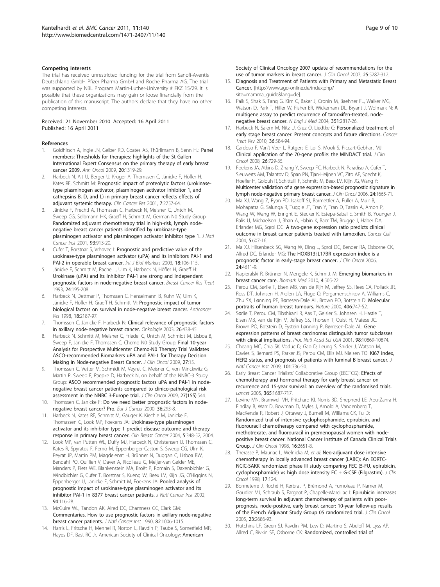#### <span id="page-8-0"></span>Competing interests

The trial has received unrestricted funding for the trial from Sanofi-Aventis Deutschland GmbH Pfizer Pharma GmbH and Roche Pharma AG. The trial was supported by NBL Program Martin-Luther-University # FKZ 15/29. It is possible that these organizations may gain or loose financially from the publication of this manuscript. The authors declare that they have no other competing interests.

#### Received: 21 November 2010 Accepted: 16 April 2011 Published: 16 April 2011

#### References

- 1. Goldhirsch A, Ingle JN, Gelber RD, Coates AS, Thürlimann B, Senn HJ: [Panel](http://www.ncbi.nlm.nih.gov/pubmed/19535820?dopt=Abstract) [members: Thresholds for therapies: highlights of the St Gallen](http://www.ncbi.nlm.nih.gov/pubmed/19535820?dopt=Abstract) [International Expert Consensus on the primary therapy of early breast](http://www.ncbi.nlm.nih.gov/pubmed/19535820?dopt=Abstract) [cancer 2009.](http://www.ncbi.nlm.nih.gov/pubmed/19535820?dopt=Abstract) Ann Oncol 2009, 20:1319-29.
- 2. Harbeck N, Alt U, Berger U, Krüger A, Thomssen C, Jänicke F, Höfler H, Kates RE, Schmitt M: [Prognostic impact of proteolytic factors \(urokinase](http://www.ncbi.nlm.nih.gov/pubmed/11555589?dopt=Abstract)[type plasminogen activator, plasminogen activator inhibitor 1, and](http://www.ncbi.nlm.nih.gov/pubmed/11555589?dopt=Abstract) [cathepsins B, D, and L\) in primary breast cancer reflects effects of](http://www.ncbi.nlm.nih.gov/pubmed/11555589?dopt=Abstract) [adjuvant systemic therapy.](http://www.ncbi.nlm.nih.gov/pubmed/11555589?dopt=Abstract) Clin Cancer Res 2001, 7:2757-64.
- Jänicke F, Prechtl A, Thomssen C, Harbeck N, Meisner C, Untch M, Sweep CG, Selbmann HK, Graeff H, Schmitt M, German N0 Study Group: [Randomized adjuvant chemotherapy trial in high-risk, lymph node](http://www.ncbi.nlm.nih.gov/pubmed/11416112?dopt=Abstract)[negative breast cancer patients identified by urokinase-type](http://www.ncbi.nlm.nih.gov/pubmed/11416112?dopt=Abstract) [plasminogen activator and plasminogen activator inhibitor type 1.](http://www.ncbi.nlm.nih.gov/pubmed/11416112?dopt=Abstract) J Natl Cancer Inst 2001, 93:913-20.
- 4. Cufer T, Borstnar S, Vrhovec I: [Prognostic and predictive value of the](http://www.ncbi.nlm.nih.gov/pubmed/12841679?dopt=Abstract) [urokinase-type plasminogen activator \(uPA\) and its inhibitors PAI-1 and](http://www.ncbi.nlm.nih.gov/pubmed/12841679?dopt=Abstract) [PAI-2 in operable breast cancer.](http://www.ncbi.nlm.nih.gov/pubmed/12841679?dopt=Abstract) Int J Biol Markers 2003, 18:106-115.
- Jänicke F, Schmitt M, Pache L, Ulm K, Harbeck N, Höfler H, Graeff H: [Urokinase \(uPA\) and its inhibitor PAI-1 are strong and independent](http://www.ncbi.nlm.nih.gov/pubmed/8435475?dopt=Abstract) [prognostic factors in node-negative breast cancer.](http://www.ncbi.nlm.nih.gov/pubmed/8435475?dopt=Abstract) Breast Cancer Res Treat 1993, 24:195-208.
- 6. Harbeck N, Dettmar P, Thomssen C, Henselmann B, Kuhn W, Ulm K, Jänicke F, Höfler H, Graeff H, Schmitt M: [Prognostic impact of tumor](http://www.ncbi.nlm.nih.gov/pubmed/9703782?dopt=Abstract) [biological factors on survival in node-negative breast cancer.](http://www.ncbi.nlm.nih.gov/pubmed/9703782?dopt=Abstract) Anticancer Res 1998, 18:2187-97.
- 7. Thomssen C, Jänicke F, Harbeck N: [Clinical relevance of prognostic factors](http://www.ncbi.nlm.nih.gov/pubmed/14605459?dopt=Abstract) [in axillary node-negative breast cancer.](http://www.ncbi.nlm.nih.gov/pubmed/14605459?dopt=Abstract) Onkologie 2003, 26:438-45.
- Harbeck N, Schmitt M, Meisner C, Friedel C, Untch M, Schmidt M, Lisboa B, Sweep F, Jänicke F, Thomssen C, Chemo N0 Study Group: Final 10-year Analysis for Prospective Multicenter Chemo-N0 Therapy Trial Validates ASCO-recommended Biomarkers uPA and PAI-1 for Therapy Decision Making in Node-negative Breast Cancer. J Clin Oncol 2009, 27:15.
- 9. Thomssen C, Vetter M, Schmidt M, Veyret C, Meisner C, von Minckwitz G, Martin P, Sweep F, Paepke D, Harbeck N, on behalf of the NNBC-3 Study Group: ASCO recommended prognostic factors uPA and PAI-1 in nodenegative breast cancer patients compared to clinico-pathological risk assessment in the NNBC 3-Europe trial. J Clin Oncol 2009, 27(15S):544.
- 10. Thomssen C, Janicke F: [Do we need better prognostic factors in node](http://www.ncbi.nlm.nih.gov/pubmed/10708928?dopt=Abstract)[negative breast cancer? Pro.](http://www.ncbi.nlm.nih.gov/pubmed/10708928?dopt=Abstract) Eur J Cancer 2000, 36:293-8.
- 11. Harbeck N, Kates RE, Schmitt M, Gauger K, Kiechle M, Janicke F, Thomassen C, Look MP, Foekens JA: [Urokinase-type plasminogen](http://www.ncbi.nlm.nih.gov/pubmed/15585071?dopt=Abstract) [activator and its inhibitor type 1 predict disease outcome and therapy](http://www.ncbi.nlm.nih.gov/pubmed/15585071?dopt=Abstract) [response in primary breast cancer.](http://www.ncbi.nlm.nih.gov/pubmed/15585071?dopt=Abstract) Clin Breast Cancer 2004, 5:348-52, 2004.
- 12. Look MP, van Putten WL, Duffy MJ, Harbeck N, Christensen IJ, Thomssen C, Kates R, Spyratos F, Fernö M, Eppenberger-Castori S, Sweep CG, Ulm K, Peyrat JP, Martin PM, Magdelenat H, Brünner N, Duggan C, Lisboa BW, Bendahl PO, Quillien V, Daver A, Ricolleau G, Meijer-van Gelder ME, Manders P, Fiets WE, Blankenstein MA, Broët P, Romain S, Daxenbichler G, Windbichler G, Cufer T, Borstnar S, Kueng W, Beex LV, Klijn JG, O'Higgins N, Eppenberger U, Jänicke F, Schmitt M, Foekens JA: [Pooled analysis of](http://www.ncbi.nlm.nih.gov/pubmed/11792750?dopt=Abstract) [prognostic impact of urokinase-type plasminogen activator and its](http://www.ncbi.nlm.nih.gov/pubmed/11792750?dopt=Abstract) [inhibitor PAI-1 in 8377 breast cancer patients.](http://www.ncbi.nlm.nih.gov/pubmed/11792750?dopt=Abstract) J Natl Cancer Inst 2002, 94:116-28.
- 13. McGuire WL, Tandon AK, Alred DC, Chamness GC, Clark GM: [Commentaries. How to use prognostic factors in axillary node-negative](http://www.ncbi.nlm.nih.gov/pubmed/2189998?dopt=Abstract) [breast cancer patients.](http://www.ncbi.nlm.nih.gov/pubmed/2189998?dopt=Abstract) J Natl Cancer Inst 1990, 82:1006-1015.
- 14. Harris L, Fritsche H, Mennel R, Norton L, Ravdin P, Taube S, Somerfield MR, Hayes DF, Bast RC Jr, American Society of Clinical Oncology: [American](http://www.ncbi.nlm.nih.gov/pubmed/17954709?dopt=Abstract)

[Society of Clinical Oncology 2007 update of recommendations for the](http://www.ncbi.nlm.nih.gov/pubmed/17954709?dopt=Abstract) [use of tumor markers in breast cancer.](http://www.ncbi.nlm.nih.gov/pubmed/17954709?dopt=Abstract) J Clin Oncol 2007, 25:5287-312.

- 15. Diagnosis and Treatment of Patients with Primary and Metastatic Breast Cancer. [[http://www.ago-online.de/index.php?](http://www.ago-online.de/index.php?site=mamma_guide&lang=de) [site=mamma\\_guide&lang=de\]](http://www.ago-online.de/index.php?site=mamma_guide&lang=de).
- 16. Paik S, Shak S, Tang G, Kim C, Baker J, Cronin M, Baehner FL, Walker MG, Watson D, Park T, Hiller W, Fisher ER, Wickerham DL, Bryant J, Wolmark N: [A](http://www.ncbi.nlm.nih.gov/pubmed/15591335?dopt=Abstract) [multigene assay to predict recurrence of tamoxifen-treated, node](http://www.ncbi.nlm.nih.gov/pubmed/15591335?dopt=Abstract)[negative breast cancer.](http://www.ncbi.nlm.nih.gov/pubmed/15591335?dopt=Abstract) N Engl J Med 2004, 351:2817-26.
- 17. Harbeck N, Salem M, Nitz U, Gluz O, Liedtke C: [Personalized treatment of](http://www.ncbi.nlm.nih.gov/pubmed/20554119?dopt=Abstract) [early stage breast cancer: Present concepts and future directions.](http://www.ncbi.nlm.nih.gov/pubmed/20554119?dopt=Abstract) Cancer Treat Rev 2010, 36:584-94.
- 18. Cardoso F, Van't Veer L, Rutgers E, Loi S, Mook S, Piccart-Gebhart MJ: [Clinical application of the 70-gene profile: the MINDACT trial.](http://www.ncbi.nlm.nih.gov/pubmed/18258980?dopt=Abstract) J Clin Oncol 2008, 26:729-35.
- 19. Foekens JA, Atkins D, Zhang Y, Sweep FC, Harbeck N, Paradiso A, Cufer T, Sieuwerts AM, Talantov D, Span PN, Tjan-Heijnen VC, Zito AF, Specht K, Hoefler H, Golouh R, Schittulli F, Schmitt M, Beex LV, Klijn JG, Wang Y: [Multicenter validation of a gene expression-based prognostic signature in](http://www.ncbi.nlm.nih.gov/pubmed/16505412?dopt=Abstract) [lymph node-negative primary breast cancer.](http://www.ncbi.nlm.nih.gov/pubmed/16505412?dopt=Abstract) J Clin Oncol 2006, 24:1665-71.
- 20. Ma XJ, Wang Z, Ryan PD, Isakoff SJ, Barmettler A, Fuller A, Muir B, Mohapatra G, Salunga R, Tuggle JT, Tran Y, Tran D, Tassin A, Amon P, Wang W, Wang W, Enright E, Stecker K, Estepa-Sabal E, Smith B, Younger J, Balis U, Michaelson J, Bhan A, Habin K, Baer TM, Brugge J, Haber DA, Erlander MG, Sgroi DC: [A two-gene expression ratio predicts clinical](http://www.ncbi.nlm.nih.gov/pubmed/15193263?dopt=Abstract) [outcome in breast cancer patients treated with tamoxifen.](http://www.ncbi.nlm.nih.gov/pubmed/15193263?dopt=Abstract) Cancer Cell 2004, 5:607-16.
- 21. Ma XJ, Hilsenbeck SG, Wang W, Ding L, Sgroi DC, Bender RA, Osborne CK, Allred DC, Erlander MG: [The HOXB13:IL17BR expression index is a](http://www.ncbi.nlm.nih.gov/pubmed/17008703?dopt=Abstract) [prognostic factor in early-stage breast cancer.](http://www.ncbi.nlm.nih.gov/pubmed/17008703?dopt=Abstract) J Clin Oncol 2006, 24:4611-9.
- 22. Napieralski R, Brünner N, Mengele K, Schmitt M: [Emerging biomarkers in](http://www.ncbi.nlm.nih.gov/pubmed/20701440?dopt=Abstract) [breast cancer care.](http://www.ncbi.nlm.nih.gov/pubmed/20701440?dopt=Abstract) Biomark Med 2010, 4:505-22.
- 23. Perou CM, Sørlie T, Eisen MB, van de Rijn M, Jeffrey SS, Rees CA, Pollack JR, Ross DT, Johnsen H, Akslen LA, Fluge O, Pergamenschikov A, Williams C, Zhu SX, Lønning PE, Børresen-Dale AL, Brown PO, Botstein D: [Molecular](http://www.ncbi.nlm.nih.gov/pubmed/10963602?dopt=Abstract) [portraits of human breast tumours.](http://www.ncbi.nlm.nih.gov/pubmed/10963602?dopt=Abstract) Nature 2000, 406:747-52.
- 24. Sørlie T, Perou CM, Tibshirani R, Aas T, Geisler S, Johnsen H, Hastie T, Eisen MB, van de Rijn M, Jeffrey SS, Thorsen T, Quist H, Matese JC, Brown PO, Botstein D, Eystein Lønning P, Børresen-Dale AL: [Gene](http://www.ncbi.nlm.nih.gov/pubmed/11553815?dopt=Abstract) [expression patterns of breast carcinomas distinguish tumor subclasses](http://www.ncbi.nlm.nih.gov/pubmed/11553815?dopt=Abstract) [with clinical implications.](http://www.ncbi.nlm.nih.gov/pubmed/11553815?dopt=Abstract) Proc Natl Acad Sci USA 2001, 98:10869-10874.
- 25. Cheang MC, Chia SK, Voduc D, Gao D, Leung S, Snider J, Watson M, Davies S, Bernard PS, Parker JS, Perou CM, Ellis MJ, Nielsen TO: [Ki67 index,](http://www.ncbi.nlm.nih.gov/pubmed/19436038?dopt=Abstract) [HER2 status, and prognosis of patients with luminal B breast cancer.](http://www.ncbi.nlm.nih.gov/pubmed/19436038?dopt=Abstract) Natl Cancer Inst 2009, 101:736-50.
- 26. Early Breast Cancer Trialists' Collaborative Group (EBCTCG): [Effects of](http://www.ncbi.nlm.nih.gov/pubmed/15894097?dopt=Abstract) [chemotherapy and hormonal therapy for early breast cancer on](http://www.ncbi.nlm.nih.gov/pubmed/15894097?dopt=Abstract) [recurrence and 15-year survival: an overview of the randomised trials.](http://www.ncbi.nlm.nih.gov/pubmed/15894097?dopt=Abstract) Lancet 2005, 365:1687-717.
- 27. Levine MN, Bramwell VH, Pritchard KI, Norris BD, Shepherd LE, Abu-Zahra H, Findlay B, Warr D, Bowman D, Myles J, Arnold A, Vandenberg T, MacKenzie R, Robert J, Ottaway J, Burnell M, Williams CK, Tu D: [Randomized trial of intensive cyclophosphamide, epirubicin, and](http://www.ncbi.nlm.nih.gov/pubmed/9704715?dopt=Abstract) [fluorouracil chemotherapy compared with cyclophosphamide,](http://www.ncbi.nlm.nih.gov/pubmed/9704715?dopt=Abstract) [methotrexate, and fluorouracil in premenopausal women with node](http://www.ncbi.nlm.nih.gov/pubmed/9704715?dopt=Abstract)[positive breast cancer. National Cancer Institute of Canada Clinical Trials](http://www.ncbi.nlm.nih.gov/pubmed/9704715?dopt=Abstract) [Group.](http://www.ncbi.nlm.nih.gov/pubmed/9704715?dopt=Abstract) J Clin Oncol 1998, 16:2651-8.
- 28. Therasse P, Mauriac L, Welnicka M, et al: Neo-adjuvant dose intensive chemotherapy in locally advanced breast cancer (LABC): An EORTC-NCIC-SAKK randomized phase III study comparing FEC (5-FU, epirubicin, cyclophosphamide) vs high dose intensity EC + G-CSF (Filgrastim). J Clin Oncol 1998, 17:124.
- 29. Bonneterre J, Roché H, Kerbrat P, Brémond A, Fumoleau P, Namer M, Goudier MJ, Schraub S, Fargeot P, Chapelle-Marcillac I: [Epirubicin increases](http://www.ncbi.nlm.nih.gov/pubmed/15837983?dopt=Abstract) [long-term survival in adjuvant chemotherapy of patients with poor](http://www.ncbi.nlm.nih.gov/pubmed/15837983?dopt=Abstract)[prognosis, node-positive, early breast cancer: 10-year follow-up results](http://www.ncbi.nlm.nih.gov/pubmed/15837983?dopt=Abstract) [of the French Adjuvant Study Group 05 randomized trial.](http://www.ncbi.nlm.nih.gov/pubmed/15837983?dopt=Abstract) J Clin Oncol 2005, 23:2686-93.
- 30. Hutchins LF, Green SJ, Ravdin PM, Lew D, Martino S, Abeloff M, Lyss AP, Allred C, Rivkin SE, Osborne CK: [Randomized, controlled trial of](http://www.ncbi.nlm.nih.gov/pubmed/16293862?dopt=Abstract)